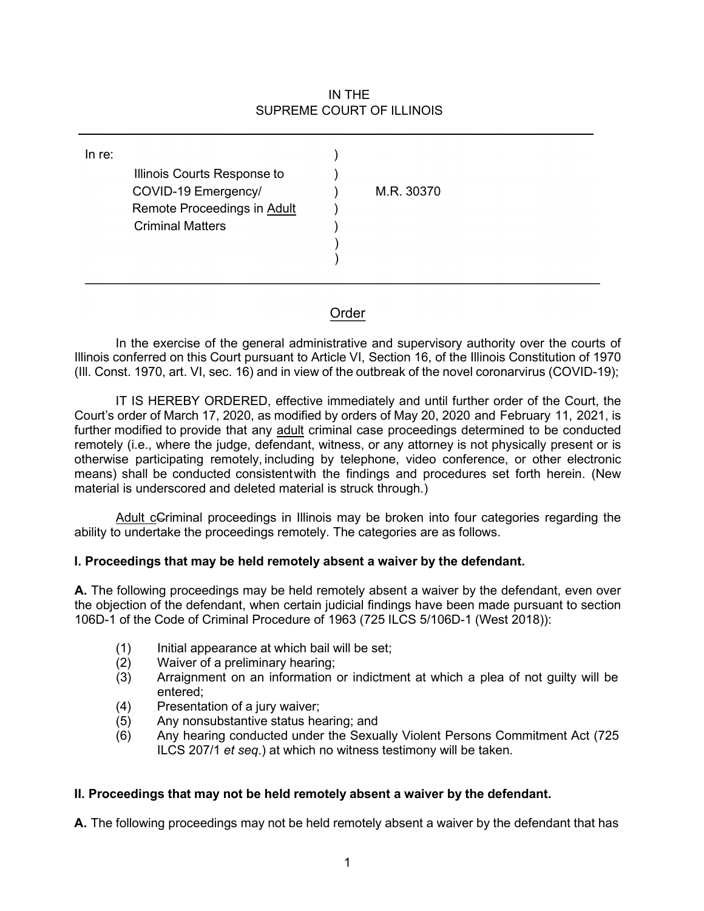## IN THE SUPREME COURT OF ILLINOIS

| In re: | Illinois Courts Response to<br>COVID-19 Emergency/ | M.R. 30370 |
|--------|----------------------------------------------------|------------|
|        | Remote Proceedings in Adult                        |            |
|        | <b>Criminal Matters</b>                            |            |
|        |                                                    |            |
|        |                                                    |            |
|        |                                                    |            |

## Order

In the exercise of the general administrative and supervisory authority over the courts of Illinois conferred on this Court pursuant to Article VI, Section 16, of the Illinois Constitution of 1970 (Ill. Const. 1970, art. VI, sec. 16) and in view of the outbreak of the novel coronarvirus (COVID-19);

IT IS HEREBY ORDERED, effective immediately and until further order of the Court, the Court's order of March 17, 2020, as modified by orders of May 20, 2020 and February 11, 2021, is further modified to provide that any adult criminal case proceedings determined to be conducted remotely (i.e., where the judge, defendant, witness, or any attorney is not physically present or is otherwise participating remotely, including by telephone, video conference, or other electronic means) shall be conducted consistentwith the findings and procedures set forth herein. (New material is underscored and deleted material is struck through.)

Adult cCriminal proceedings in Illinois may be broken into four categories regarding the ability to undertake the proceedings remotely. The categories are as follows.

#### **I. Proceedings that may be held remotely absent a waiver by the defendant.**

**A.** The following proceedings may be held remotely absent a waiver by the defendant, even over the objection of the defendant, when certain judicial findings have been made pursuant to section 106D-1 of the Code of Criminal Procedure of 1963 (725 ILCS 5/106D-1 (West 2018)):

- (1) Initial appearance at which bail will be set;<br>(2) Waiver of a preliminary hearing;
- Waiver of a preliminary hearing;
- (3) Arraignment on an information or indictment at which a plea of not guilty will be entered;
- (4) Presentation of a jury waiver;
- (5) Any nonsubstantive status hearing; and
- (6) Any hearing conducted under the Sexually Violent Persons Commitment Act (725 ILCS 207/1 *et seq*.) at which no witness testimony will be taken.

## **II. Proceedings that may not be held remotely absent a waiver by the defendant.**

**A.** The following proceedings may not be held remotely absent a waiver by the defendant that has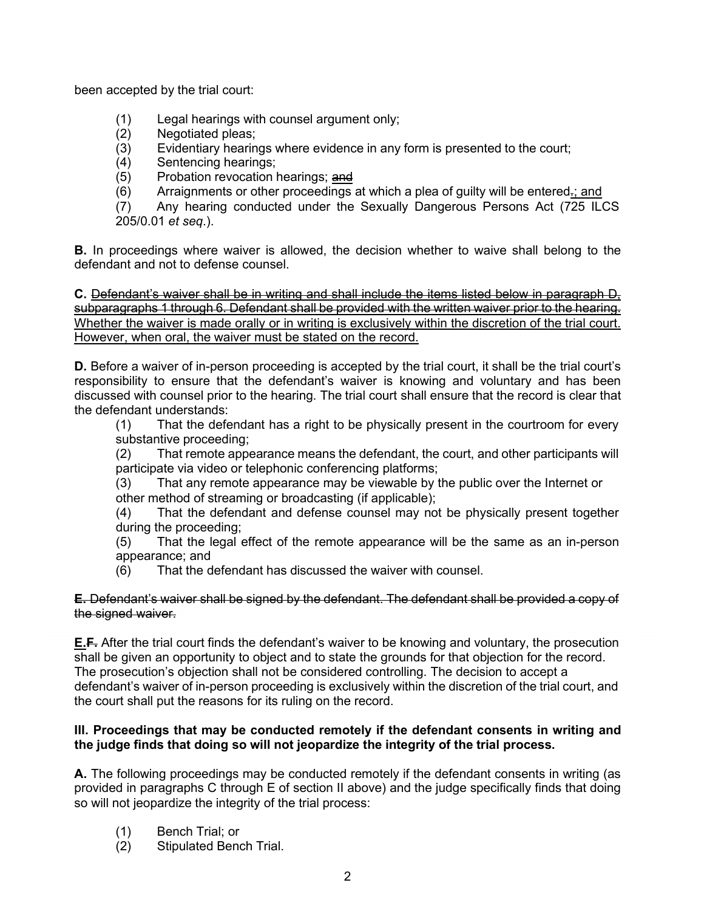been accepted by the trial court:

- (1) Legal hearings with counsel argument only;
- Negotiated pleas;
- (3) Evidentiary hearings where evidence in any form is presented to the court;
- (4) Sentencing hearings;<br>(5) Probation revocation l
- Probation revocation hearings; and
- $(6)$  Arraignments or other proceedings at which a plea of quilty will be entered-; and

(7) Any hearing conducted under the Sexually Dangerous Persons Act (725 ILCS [205/0.01](https://0.0.0.205/0.01) *et seq*.).

**B.** In proceedings where waiver is allowed, the decision whether to waive shall belong to the defendant and not to defense counsel.

**C.** Defendant's waiver shall be in writing and shall include the items listed below in paragraph D, subparagraphs 1 through 6. Defendant shall be provided with the written waiver prior to the hearing. Whether the waiver is made orally or in writing is exclusively within the discretion of the trial court. However, when oral, the waiver must be stated on the record.

**D.** Before a waiver of in-person proceeding is accepted by the trial court, it shall be the trial court's responsibility to ensure that the defendant's waiver is knowing and voluntary and has been discussed with counsel prior to the hearing. The trial court shall ensure that the record is clear that the defendant understands:

(1) That the defendant has a right to be physically present in the courtroom for every substantive proceeding;

(2) That remote appearance means the defendant, the court, and other participants will participate via video or telephonic conferencing platforms;

(3) That any remote appearance may be viewable by the public over the Internet or other method of streaming or broadcasting (if applicable);

(4) That the defendant and defense counsel may not be physically present together during the proceeding;

(5) That the legal effect of the remote appearance will be the same as an in-person appearance; and

(6) That the defendant has discussed the waiver with counsel.

#### **E.** Defendant's waiver shall be signed by the defendant. The defendant shall be provided a copy of the signed waiver.

**E.F.** After the trial court finds the defendant's waiver to be knowing and voluntary, the prosecution shall be given an opportunity to object and to state the grounds for that objection for the record. The prosecution's objection shall not be considered controlling. The decision to accept a defendant's waiver of in-person proceeding is exclusively within the discretion of the trial court, and the court shall put the reasons for its ruling on the record.

## **III. Proceedings that may be conducted remotely if the defendant consents in writing and the judge finds that doing so will not jeopardize the integrity of the trial process.**

**A.** The following proceedings may be conducted remotely if the defendant consents in writing (as provided in paragraphs C through E of section II above) and the judge specifically finds that doing so will not jeopardize the integrity of the trial process:

- (1) Bench Trial; or
- (2) Stipulated Bench Trial.